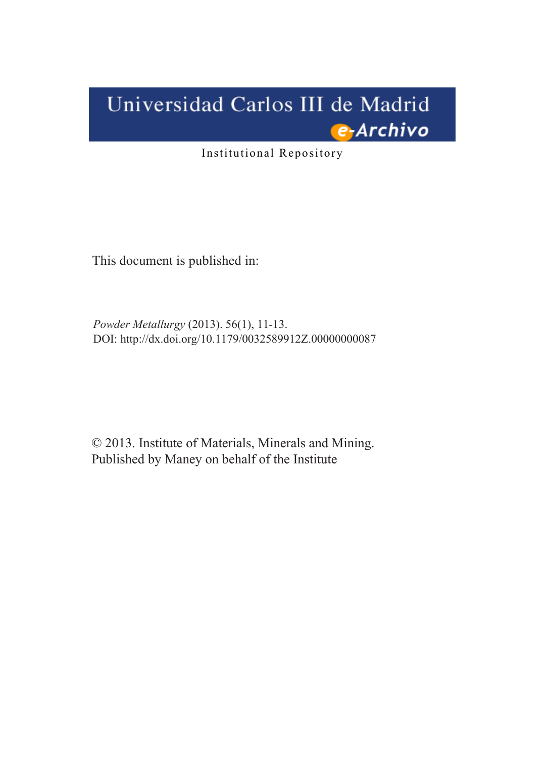# Universidad Carlos III de Madrid e-Archivo

Institutional Repository

This document is published in:

*Powder Metallurgy* (2013). 56(1), 11-13. DOI:<http://dx.doi.org/10.1179/0032589912Z.00000000087>

© 2013. Institute of Materials, Minerals and Mining. Published by Maney on behalf of the Institute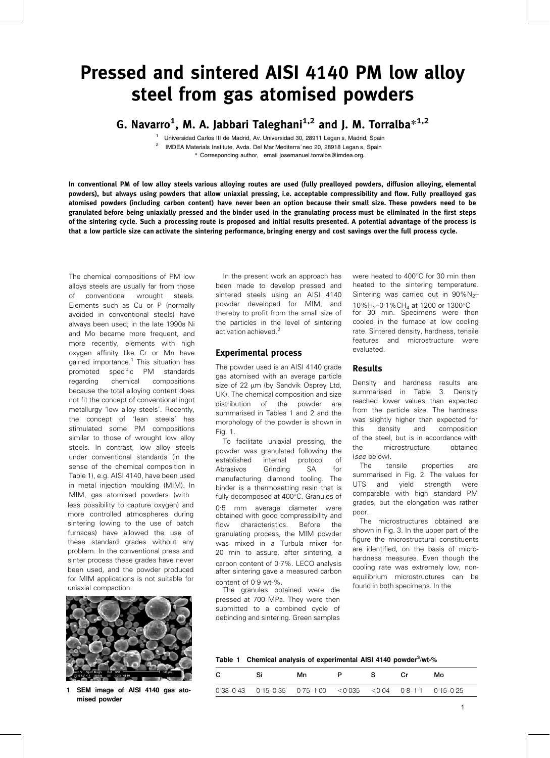## Pressed and sintered AISI 4140 PM low alloy steel from gas atomised powders

G. Navarro<sup>1</sup>, M. A. Jabbari Taleghani<sup>1,2</sup> and J. M. Torralba $^{*1,2}$ 

<sup>1</sup> Universidad Carlos III de Madrid, Av. Universidad 30, 28911 Legan s, Madrid, Spain 2 IMDEA Materials Institute, Avda. Del Mar Mediterra´neo 20, 28918 Legan s, Spain

\* Corresponding author, email josemanuel.torralba@imdea.org.

In conventional PM of low alloy steels various alloying routes are used (fully prealloyed powders, diffusion alloying, elemental powders), but always using powders that allow uniaxial pressing, i.e. acceptable compressibility and flow. Fully prealloyed gas atomised powders (including carbon content) have never been an option because their small size. These powders need to be granulated before being uniaxially pressed and the binder used in the granulating process must be eliminated in the first steps of the sintering cycle. Such a processing route is proposed and initial results presented. A potential advantage of the process is that a low particle size can activate the sintering performance, bringing energy and cost savings over the full process cycle.

The chemical compositions of PM low alloys steels are usually far from those of conventional wrought steels. Elements such as Cu or P (normally avoided in conventional steels) have always been used; in the late 1990s Ni and Mo became more frequent, and more recently, elements with high oxygen affinity like Cr or Mn have gained importance.<sup>1</sup> This situation has promoted specific PM standards regarding chemical compositions because the total alloying content does not fit the concept of conventional ingot metallurgy 'low alloy steels'. Recently, the concept of 'lean steels' has stimulated some PM compositions similar to those of wrought low alloy steels. In contrast, low alloy steels under conventional standards (in the sense of the chemical composition in Table 1), e.g. AISI 4140, have been used in metal injection moulding (MIM). In MIM, gas atomised powders (with less possibility to capture oxygen) and more controlled atmospheres during sintering (owing to the use of batch furnaces) have allowed the use of these standard grades without any problem. In the conventional press and sinter process these grades have never been used, and the powder produced for MIM applications is not suitable for uniaxial compaction.



1 SEM image of AISI 4140 gas atomised powder

In the present work an approach has been made to develop pressed and sintered steels using an AISI 4140 powder developed for MIM, and thereby to profit from the small size of the particles in the level of sintering activation achieved.<sup>2</sup>

#### Experimental process

The powder used is an AISI 4140 grade gas atomised with an average particle size of 22 um (by Sandvik Osprey Ltd, UK). The chemical composition and size distribution of the powder are summarised in Tables 1 and 2 and the morphology of the powder is shown in Fig. 1.

To facilitate uniaxial pressing, the powder was granulated following the established internal protocol of Abrasivos Grinding SA for manufacturing diamond tooling. The binder is a thermosetting resin that is fully decomposed at 400°C. Granules of

0 .5 mm average diameter were obtained with good compressibility and flow characteristics. Before the granulating process, the MIM powder was mixed in a Turbula mixer for 20 min to assure, after sintering, a carbon content of 0.7%. LECO analysis after sintering gave a measured carbon content of 0 .9 wt-%.

The granules obtained were die pressed at 700 MPa. They were then submitted to a combined cycle of debinding and sintering. Green samples were heated to 400°C for 30 min then heated to the sintering temperature. Sintering was carried out in  $90\%$ N<sub>2</sub>– 10%H<sub>2</sub>-0.1%CH<sub>4</sub> at 1200 or 1300°C for 30 min. Specimens were then cooled in the furnace at low cooling rate. Sintered density, hardness, tensile features and microstructure were evaluated.

#### Results

Density and hardness results are summarised in Table 3. Density reached lower values than expected from the particle size. The hardness was slightly higher than expected for this density and composition of the steel, but is in accordance with the microstructure obtained (see below).

The tensile properties are summarised in Fig. 2. The values for UTS and yield strength were comparable with high standard PM grades, but the elongation was rather poor.

The microstructures obtained are shown in Fig. 3. In the upper part of the figure the microstructural constituents are identified, on the basis of microhardness measures. Even though the cooling rate was extremely low, nonequilibrium microstructures can be found in both specimens. In the

|  |  |  |  |  | Table 1 Chemical analysis of experimental AISI 4140 powder <sup>3</sup> /wt-% |
|--|--|--|--|--|-------------------------------------------------------------------------------|
|--|--|--|--|--|-------------------------------------------------------------------------------|

| C<br>Si                                                                                | Mn |  | Мο |
|----------------------------------------------------------------------------------------|----|--|----|
| $0.38 - 0.43$ $0.15 - 0.35$ $0.75 - 1.00$ $< 0.035$ $< 0.04$ $0.8 - 1.1$ $0.15 - 0.25$ |    |  |    |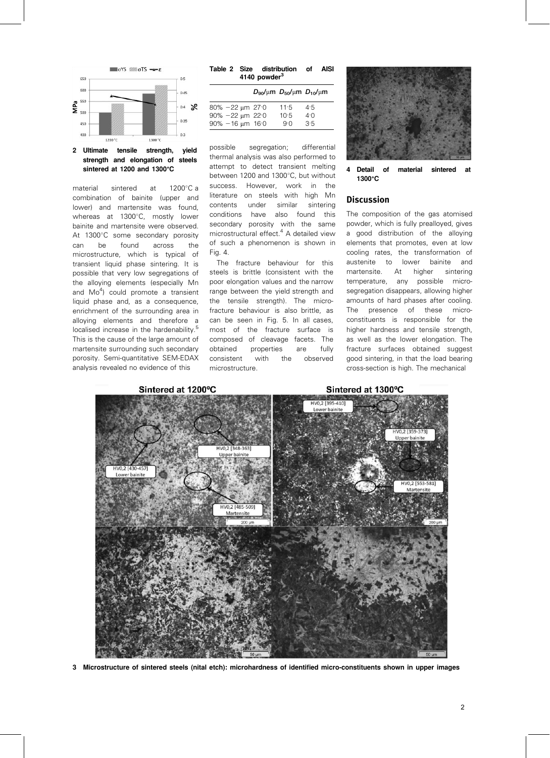

#### 2 Ultimate tensile strength, yield strength and elongation of steels sintered at 1200 and 1300 $^{\circ}$ C

material sintered at  $1200^{\circ}$ C a combination of bainite (upper and lower) and martensite was found, whereas at 1300°C, mostly lower bainite and martensite were observed. At 1300°C some secondary porosity can be found across the microstructure, which is typical of transient liquid phase sintering. It is possible that very low segregations of the alloying elements (especially Mn and Mo<sup>4</sup>) could promote a transient liquid phase and, as a consequence, enrichment of the surrounding area in alloying elements and therefore a localised increase in the hardenability.<sup>5</sup> This is the cause of the large amount of martensite surrounding such secondary porosity. Semi-quantitative SEM-EDAX analysis revealed no evidence of this

|  | Table 2 Size distribution of AISI<br>4140 powder <sup>3</sup> |  |
|--|---------------------------------------------------------------|--|
|  |                                                               |  |

|                                                  | $D_{90}/\mu m D_{50}/\mu m D_{10}/\mu m$ |            |
|--------------------------------------------------|------------------------------------------|------------|
| $80\% - 22 \mu m$ 27.0<br>$90\% - 22 \mu m$ 22.0 | 11.5<br>10.5                             | 4:5<br>4.0 |
| $90\% - 16 \mu m$ 16:0                           | 9.0                                      | 3.5        |

possible segregation; differential thermal analysis was also performed to attempt to detect transient melting between 1200 and 1300°C, but without success. However, work in the literature on steels with high Mn contents under similar sintering conditions have also found this secondary porosity with the same microstructural effect.<sup>4</sup> A detailed view of such a phenomenon is shown in Fig. 4.

The fracture behaviour for this steels is brittle (consistent with the poor elongation values and the narrow range between the yield strength and the tensile strength). The microfracture behaviour is also brittle, as can be seen in Fig. 5. In all cases, most of the fracture surface is composed of cleavage facets. The obtained properties are fully consistent with the observed microstructure.



4 Detail of material sintered at  $1300^{\circ}$ C

#### Discussion

The composition of the gas atomised powder, which is fully prealloyed, gives a good distribution of the alloying elements that promotes, even at low cooling rates, the transformation of austenite to lower bainite and martensite. At higher sintering temperature, any possible microsegregation disappears, allowing higher amounts of hard phases after cooling. The presence of these microconstituents is responsible for the higher hardness and tensile strength, as well as the lower elongation. The fracture surfaces obtained suggest good sintering, in that the load bearing cross-section is high. The mechanical



3 Microstructure of sintered steels (nital etch): microhardness of identified micro-constituents shown in upper images